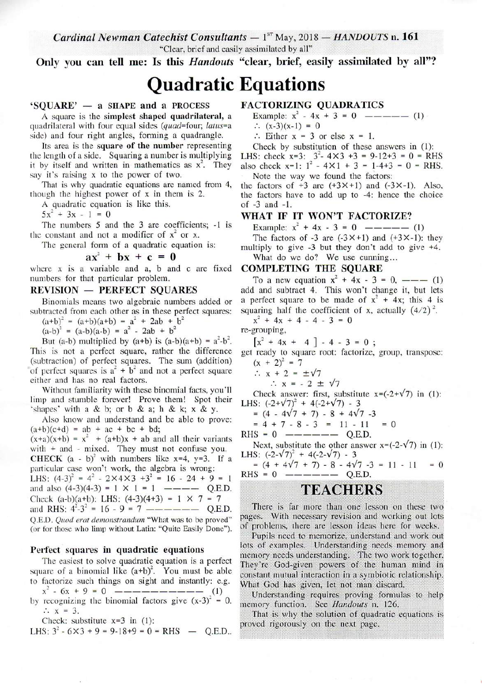Cardinal Newman Catechist Consultants  $-1^{ST}$  May, 2018  $-$  HANDOUTS n. 161

"Clear, brief and easily assimilated by all"

Only you can tell me: Is this *Handouts* "clear, brief, easily assimilated by all"?

# **Quadratic Equations**

# 'SOUARE' - a SHAPE and a PROCESS

A square is the simplest shaped quadrilateral, a quadrilateral with four equal sides (quad=four; latus=a side) and four right angles, forming a quadrangle.

Its area is the square of the number representing the length of a side. Squaring a number is multiplying it by itself and written in mathematics as  $x^2$ . They say it's raising x to the power of two.

That is why quadratic equations are named from 4, though the highest power of x in them is 2.

A quadratic equation is like this.

 $5x^2 + 3x - 1 = 0$ 

The numbers 5 and the 3 are coefficients; -1 is the constant and not a modifier of  $x^2$  or x.

The general form of a quadratic equation is:

$$
ax^2 + bx + c = 0
$$

where x is a variable and a, b and c are fixed numbers for that particular problem.

# **REVISION - PERFECT SQUARES**

Binomials means two algebraic numbers added or subtracted from each other as in these perfect squares:

 $(a+b)^2 = (a+b)(a+b) = a^2 + 2ab + b^2$ <br>  $(a-b)^2 = (a-b)(a-b) = a^2 - 2ab + b^2$ 

But (a-b) multiplied by (a+b) is (a-b)(a+b) =  $a^2-b^2$ . This is not a perfect square, rather the difference (subtraction) of perfect squares. The sum (addition) of perfect squares is  $a^2 + b^2$  and not a perfect square either and has no real factors.

Without familiarity with these binomial facts, you'll limp and stumble forever! Prove them! Spot their 'shapes' with a & b; or b & a; h & k; x & y.

Also know and understand and be able to prove:  $(a+b)(c+d) = ab + ac + bc + bd;$ 

 $(x+a)(x+b) = x<sup>2</sup> + (a+b)x + ab$  and all their variants with  $+$  and  $-$  mixed. They must not confuse you.

CHECK  $(a - b)^2$  with numbers like x=4, y=3. If a particular case won't work, the algebra is wrong:

LHS:  $(4-3)^2 = 4^2 - 2 \times 4 \times 3 + 3^2 = 16 - 24 + 9 = 1$ and also  $(4-3)(4-3) = 1 \times 1 = 1$  ---- Q.E.D. Check (a-b)(a+b): LHS:  $(4-3)(4+3) = 1 \times 7 = 7$ Q.E.D. Quod erat demonstrandum "What was to be proved" (or for those who limp without Latin: "Quite Easily Done").

### Perfect squares in quadratic equations

The easiest to solve quadratic equation is a perfect square of a binomial like  $(a+b)^2$ . You must be able to factorize such things on sight and instantly: e.g.

 $x^2 - 6x + 9 = 0$  ----------- (1) by recognizing the binomial factors give  $(x-3)^2 = 0$ .  $\therefore$   $x = 3$ .

Check: substitute  $x=3$  in (1):

LHS: 
$$
3^2 - 6 \times 3 + 9 = 9 - 18 + 9 = 0 =
$$
RHS — Q.E.D..

# **FACTORIZING QUADRATICS**

Example:  $x^2 - 4x + 3 = 0$  ----- (1)

- $\therefore$  (x-3)(x-1) = 0
- $\therefore$  Either x = 3 or else x = 1.
- Check by substitution of these answers in (1):

LHS: check  $x=3$ :  $3^2 - 4 \times 3 + 3 = 9 - 12 + 3 = 0 = RHS$ <br>also check  $x=1$ :  $1^2 - 4 \times 1 + 3 = 1 - 4 + 3 = 0 = RHS$ . Note the way we found the factors:

the factors of  $+3$  are  $(+3\times+1)$  and  $(-3\times-1)$ . Also, the factors have to add up to -4: hence the choice of  $-3$  and  $-1$ .

# WHAT IF IT WON'T FACTORIZE?

Example:  $x^2 + 4x - 3 = 0$  ----- (1)

The factors of -3 are  $(-3 \times +1)$  and  $(+3 \times -1)$ : they multiply to give -3 but they don't add to give +4. What do we do? We use cunning...

# **COMPLETING THE SOUARE**

To a new equation  $x^2 + 4x - 3 = 0$ , ——— (1) add and subtract 4. This won't change it, but lets a perfect square to be made of  $x^2 + 4x$ ; this 4 is squaring half the coefficient of x, actually  $(4/2)^2$ .

 $x^2 + 4x + 4 - 4 - 3 = 0$ 

re-grouping,

 $\begin{bmatrix} x^2 + 4x + 4 \end{bmatrix}$  - 4 - 3 = 0;

get ready to square root: factorize, group, transpose:  $(x + 2)^2 = 7$ 

 $\therefore$  x + 2 =  $\pm\sqrt{7}$ 

 $\therefore$  x = - 2  $\pm \sqrt{7}$ 

Check answer: first, substitute  $x = (-2 + \sqrt{7})$  in (1): LHS:  $(-2+\sqrt{7})^2$  + 4(-2+ $\sqrt{7}$ ) - 3

 $= (4 - 4\sqrt{7} + 7) - 8 + 4\sqrt{7} -3$ 

$$
= 4 + 7 - 8 - 3 = 11 - 11 = 0
$$

RHS =  $0$  ------ Q.E.D.

Next, substitute the other answer  $x=(-2-\sqrt{7})$  in (1): LHS:  $(-2-\sqrt{7})^2 + 4(-2-\sqrt{7}) - 3$ 

$$
= (4 + 4\sqrt{7} + 7) - 8 - 4\sqrt{7} - 3 = 11 - 11 = 0
$$
  
RHS = 0 — — — — — — — Q.E.D.

# **TEACHERS**

There is far more than one lesson on these two pages. With necessary revision and working out lots of problems, there are lesson ideas here for weeks.

Pupils need to memorize, understand and work out lots of examples. Understanding needs memory and memory needs understanding. The two work together, They're God-given powers of the human mind in constant mutual interaction in a symbiotic relationship. What God has given, let not man discard,

Understanding requires proving formulas to help memory function. See Handouts n. 126.

That is why the solution of quadratic equations is proved rigorously on the next page.